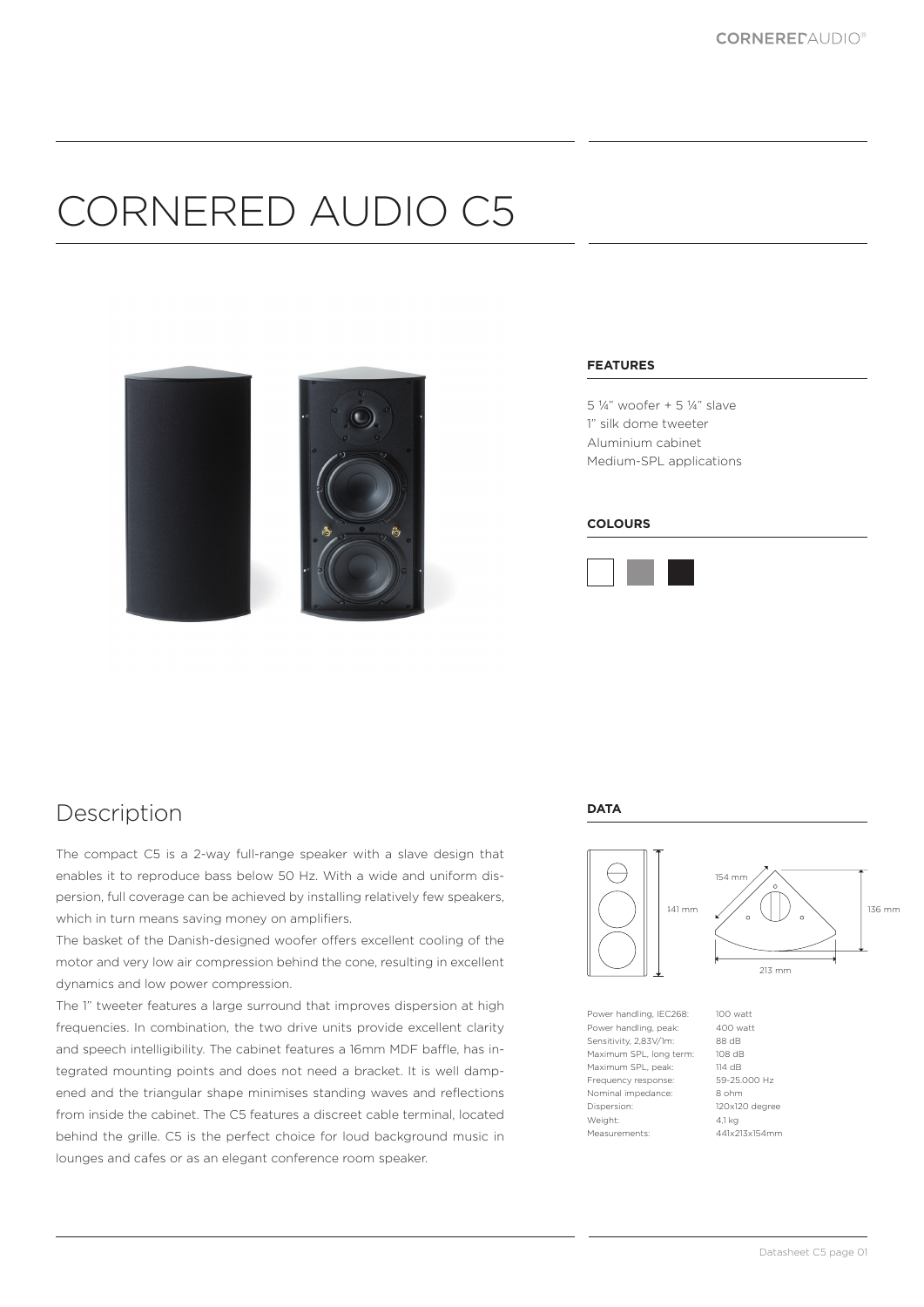# CORNERED AUDIO C5



#### **FEATURES**

5 ¼" woofer + 5 ¼" slave 1" silk dome tweeter Aluminium cabinet Medium-SPL applications

#### **COLOURS**



### Description

The compact C5 is a 2-way full-range speaker with a slave design that enables it to reproduce bass below 50 Hz. With a wide and uniform dispersion, full coverage can be achieved by installing relatively few speakers, which in turn means saving money on amplifiers.

The basket of the Danish-designed woofer offers excellent cooling of the motor and very low air compression behind the cone, resulting in excellent dynamics and low power compression.

The 1" tweeter features a large surround that improves dispersion at high frequencies. In combination, the two drive units provide excellent clarity and speech intelligibility. The cabinet features a 16mm MDF baffle, has integrated mounting points and does not need a bracket. It is well dampened and the triangular shape minimises standing waves and reflections from inside the cabinet. The C5 features a discreet cable terminal, located behind the grille. C5 is the perfect choice for loud background music in lounges and cafes or as an elegant conference room speaker.

#### **DATA**